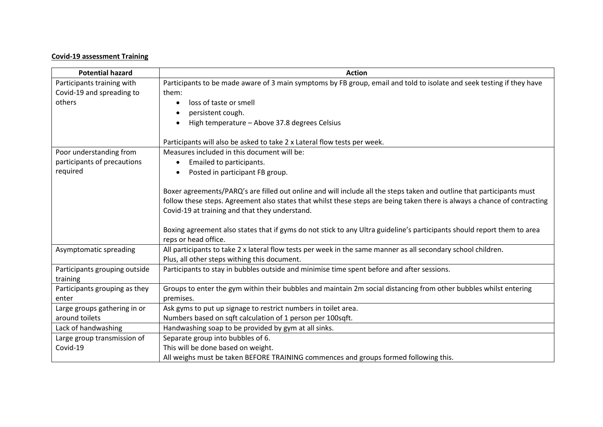## **Covid-19 assessment Training**

| <b>Potential hazard</b>       | <b>Action</b>                                                                                                             |
|-------------------------------|---------------------------------------------------------------------------------------------------------------------------|
| Participants training with    | Participants to be made aware of 3 main symptoms by FB group, email and told to isolate and seek testing if they have     |
| Covid-19 and spreading to     | them:                                                                                                                     |
| others                        | loss of taste or smell                                                                                                    |
|                               | persistent cough.                                                                                                         |
|                               | High temperature - Above 37.8 degrees Celsius                                                                             |
|                               |                                                                                                                           |
|                               | Participants will also be asked to take 2 x Lateral flow tests per week.                                                  |
| Poor understanding from       | Measures included in this document will be:                                                                               |
| participants of precautions   | Emailed to participants.                                                                                                  |
| required                      | Posted in participant FB group.                                                                                           |
|                               |                                                                                                                           |
|                               | Boxer agreements/PARQ's are filled out online and will include all the steps taken and outline that participants must     |
|                               | follow these steps. Agreement also states that whilst these steps are being taken there is always a chance of contracting |
|                               | Covid-19 at training and that they understand.                                                                            |
|                               | Boxing agreement also states that if gyms do not stick to any Ultra guideline's participants should report them to area   |
|                               | reps or head office.                                                                                                      |
| Asymptomatic spreading        | All participants to take 2 x lateral flow tests per week in the same manner as all secondary school children.             |
|                               | Plus, all other steps withing this document.                                                                              |
| Participants grouping outside | Participants to stay in bubbles outside and minimise time spent before and after sessions.                                |
| training                      |                                                                                                                           |
| Participants grouping as they | Groups to enter the gym within their bubbles and maintain 2m social distancing from other bubbles whilst entering         |
| enter                         | premises.                                                                                                                 |
| Large groups gathering in or  | Ask gyms to put up signage to restrict numbers in toilet area.                                                            |
| around toilets                | Numbers based on sqft calculation of 1 person per 100sqft.                                                                |
| Lack of handwashing           | Handwashing soap to be provided by gym at all sinks.                                                                      |
| Large group transmission of   | Separate group into bubbles of 6.                                                                                         |
| Covid-19                      | This will be done based on weight.                                                                                        |
|                               | All weighs must be taken BEFORE TRAINING commences and groups formed following this.                                      |